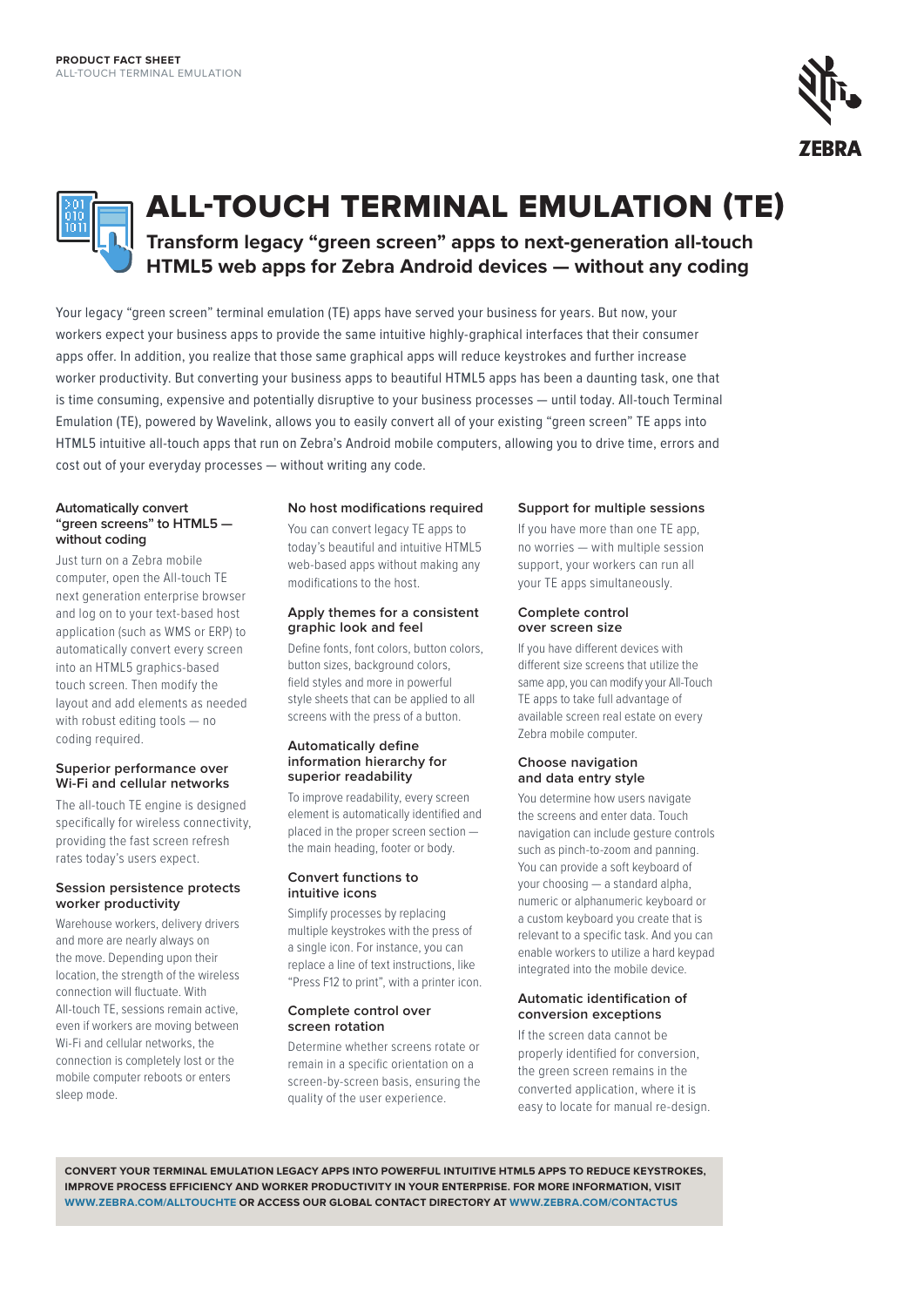



**ALL-TOUCH TERMINAL EMULATION (TE)** 

**Transform legacy "green screen" apps to next-generation all-touch HTML5 web apps for Zebra Android devices — without any coding**

Your legacy "green screen" terminal emulation (TE) apps have served your business for years. But now, your workers expect your business apps to provide the same intuitive highly-graphical interfaces that their consumer apps offer. In addition, you realize that those same graphical apps will reduce keystrokes and further increase worker productivity. But converting your business apps to beautiful HTML5 apps has been a daunting task, one that is time consuming, expensive and potentially disruptive to your business processes — until today. All-touch Terminal Emulation (TE), powered by Wavelink, allows you to easily convert all of your existing "green screen" TE apps into HTML5 intuitive all-touch apps that run on Zebra's Android mobile computers, allowing you to drive time, errors and cost out of your everyday processes — without writing any code.

### **Automatically convert "green screens" to HTML5 without coding**

Just turn on a Zebra mobile computer, open the All-touch TE next generation enterprise browser and log on to your text-based host application (such as WMS or ERP) to automatically convert every screen into an HTML5 graphics-based touch screen. Then modify the layout and add elements as needed with robust editing tools — no coding required.

# **Superior performance over Wi-Fi and cellular networks**

The all-touch TE engine is designed specifically for wireless connectivity, providing the fast screen refresh rates today's users expect.

# **Session persistence protects worker productivity**

Warehouse workers, delivery drivers and more are nearly always on the move. Depending upon their location, the strength of the wireless connection will fluctuate. With All-touch TE, sessions remain active, even if workers are moving between Wi-Fi and cellular networks, the connection is completely lost or the mobile computer reboots or enters sleep mode.

# **No host modifications required**

You can convert legacy TE apps to today's beautiful and intuitive HTML5 web-based apps without making any modifications to the host.

# **Apply themes for a consistent graphic look and feel**

Define fonts, font colors, button colors, button sizes, background colors, field styles and more in powerful style sheets that can be applied to all screens with the press of a button.

# **Automatically define information hierarchy for superior readability**

To improve readability, every screen element is automatically identified and placed in the proper screen section the main heading, footer or body.

# **Convert functions to intuitive icons**

Simplify processes by replacing multiple keystrokes with the press of a single icon. For instance, you can replace a line of text instructions, like "Press F12 to print", with a printer icon.

#### **Complete control over screen rotation**

Determine whether screens rotate or remain in a specific orientation on a screen-by-screen basis, ensuring the quality of the user experience.

# **Support for multiple sessions**

If you have more than one TE app, no worries — with multiple session support, your workers can run all your TE apps simultaneously.

### **Complete control over screen size**

If you have different devices with different size screens that utilize the same app, you can modify your All-Touch TE apps to take full advantage of available screen real estate on every Zebra mobile computer.

# **Choose navigation and data entry style**

You determine how users navigate the screens and enter data. Touch navigation can include gesture controls such as pinch-to-zoom and panning. You can provide a soft keyboard of your choosing — a standard alpha, numeric or alphanumeric keyboard or a custom keyboard you create that is relevant to a specific task. And you can enable workers to utilize a hard keypad integrated into the mobile device.

# **Automatic identification of conversion exceptions**

If the screen data cannot be properly identified for conversion, the green screen remains in the converted application, where it is easy to locate for manual re-design.

**Convert your Term inal emulation legac y apps into powerful intu itive HTML5 apps to reduce keystro kes , impro ve process efficiency and wor ker productivity in your enterpr ise . For more informat ion, visit www.ze bra .com /alltouchte or access our glo bal contact director y at www.ze bra .com /co ntactus**